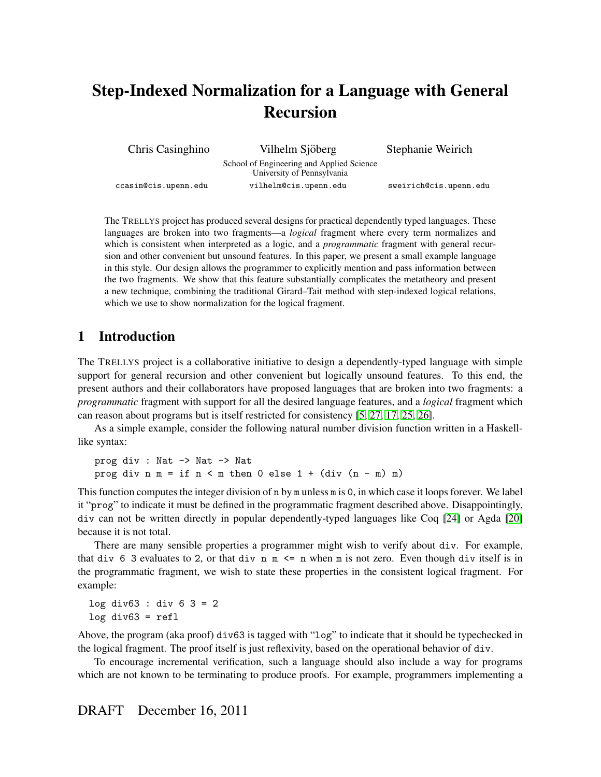# Step-Indexed Normalization for a Language with General Recursion

| Chris Casinghino     | Vilhelm Sjöberg                                                         | Stephanie Weirich      |
|----------------------|-------------------------------------------------------------------------|------------------------|
|                      | School of Engineering and Applied Science<br>University of Pennsylvania |                        |
| ccasin@cis.upenn.edu | vilhelm@cis.upenn.edu                                                   | sweirich@cis.upenn.edu |

The TRELLYS project has produced several designs for practical dependently typed languages. These languages are broken into two fragments—a *logical* fragment where every term normalizes and which is consistent when interpreted as a logic, and a *programmatic* fragment with general recursion and other convenient but unsound features. In this paper, we present a small example language in this style. Our design allows the programmer to explicitly mention and pass information between the two fragments. We show that this feature substantially complicates the metatheory and present a new technique, combining the traditional Girard–Tait method with step-indexed logical relations, which we use to show normalization for the logical fragment.

# 1 Introduction

The TRELLYS project is a collaborative initiative to design a dependently-typed language with simple support for general recursion and other convenient but logically unsound features. To this end, the present authors and their collaborators have proposed languages that are broken into two fragments: a *programmatic* fragment with support for all the desired language features, and a *logical* fragment which can reason about programs but is itself restricted for consistency [\[5,](#page-12-0) [27,](#page-13-0) [17,](#page-13-1) [25,](#page-13-2) [26\]](#page-13-3).

As a simple example, consider the following natural number division function written in a Haskelllike syntax:

prog div : Nat -> Nat -> Nat prog div  $n = if n < m then 0 else 1 + (div (n - m) m)$ 

This function computes the integer division of n by m unless m is 0, in which case it loops forever. We label it "prog" to indicate it must be defined in the programmatic fragment described above. Disappointingly, div can not be written directly in popular dependently-typed languages like Coq [\[24\]](#page-13-4) or Agda [\[20\]](#page-13-5) because it is not total.

There are many sensible properties a programmer might wish to verify about div. For example, that div 6 3 evaluates to 2, or that div  $n \leq n$  when m is not zero. Even though div itself is in the programmatic fragment, we wish to state these properties in the consistent logical fragment. For example:

log div63 : div 6 3 = 2  $log div63 = ref1$ 

Above, the program (aka proof) div63 is tagged with "log" to indicate that it should be typechecked in the logical fragment. The proof itself is just reflexivity, based on the operational behavior of div.

To encourage incremental verification, such a language should also include a way for programs which are not known to be terminating to produce proofs. For example, programmers implementing a

# DRAFT December 16, 2011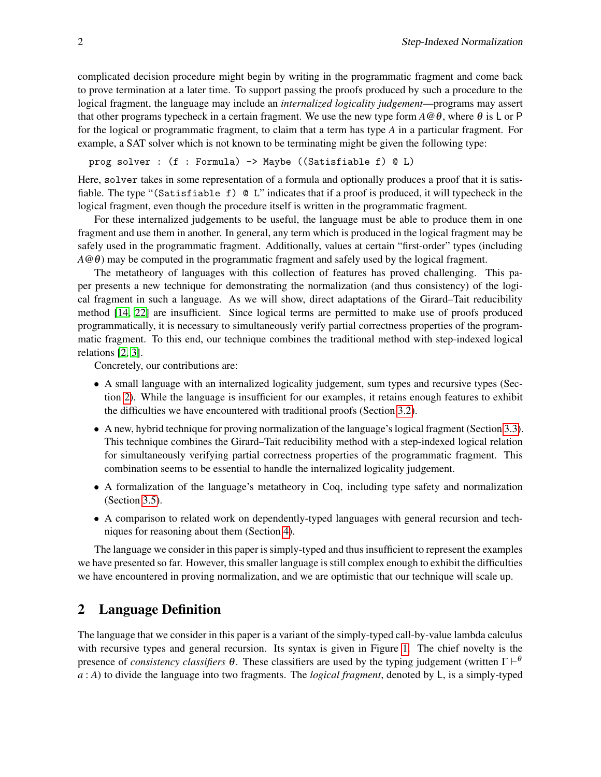complicated decision procedure might begin by writing in the programmatic fragment and come back to prove termination at a later time. To support passing the proofs produced by such a procedure to the logical fragment, the language may include an *internalized logicality judgement*—programs may assert that other programs typecheck in a certain fragment. We use the new type form  $A \omega \theta$ , where  $\theta$  is L or P for the logical or programmatic fragment, to claim that a term has type *A* in a particular fragment. For example, a SAT solver which is not known to be terminating might be given the following type:

prog solver : (f : Formula) -> Maybe ((Satisfiable f) @ L)

Here, solver takes in some representation of a formula and optionally produces a proof that it is satisfiable. The type "(Satisfiable f) @ L" indicates that if a proof is produced, it will typecheck in the logical fragment, even though the procedure itself is written in the programmatic fragment.

For these internalized judgements to be useful, the language must be able to produce them in one fragment and use them in another. In general, any term which is produced in the logical fragment may be safely used in the programmatic fragment. Additionally, values at certain "first-order" types (including *A* $@θ$ ) may be computed in the programmatic fragment and safely used by the logical fragment.

The metatheory of languages with this collection of features has proved challenging. This paper presents a new technique for demonstrating the normalization (and thus consistency) of the logical fragment in such a language. As we will show, direct adaptations of the Girard–Tait reducibility method [\[14,](#page-13-6) [22\]](#page-13-7) are insufficient. Since logical terms are permitted to make use of proofs produced programmatically, it is necessary to simultaneously verify partial correctness properties of the programmatic fragment. To this end, our technique combines the traditional method with step-indexed logical relations [\[2,](#page-12-1) [3\]](#page-12-2).

Concretely, our contributions are:

- A small language with an internalized logicality judgement, sum types and recursive types (Section [2\)](#page-1-0). While the language is insufficient for our examples, it retains enough features to exhibit the difficulties we have encountered with traditional proofs (Section [3.2\)](#page-6-0).
- A new, hybrid technique for proving normalization of the language's logical fragment (Section [3.3\)](#page-8-0). This technique combines the Girard–Tait reducibility method with a step-indexed logical relation for simultaneously verifying partial correctness properties of the programmatic fragment. This combination seems to be essential to handle the internalized logicality judgement.
- A formalization of the language's metatheory in Coq, including type safety and normalization (Section [3.5\)](#page-9-0).
- A comparison to related work on dependently-typed languages with general recursion and techniques for reasoning about them (Section [4\)](#page-10-0).

The language we consider in this paper is simply-typed and thus insufficient to represent the examples we have presented so far. However, this smaller language is still complex enough to exhibit the difficulties we have encountered in proving normalization, and we are optimistic that our technique will scale up.

# <span id="page-1-0"></span>2 Language Definition

The language that we consider in this paper is a variant of the simply-typed call-by-value lambda calculus with recursive types and general recursion. Its syntax is given in Figure [1.](#page-2-0) The chief novelty is the presence of *consistency classifiers*  $\theta$ . These classifiers are used by the typing judgement (written  $\Gamma \vdash^{\theta}$ *a* : *A*) to divide the language into two fragments. The *logical fragment*, denoted by L, is a simply-typed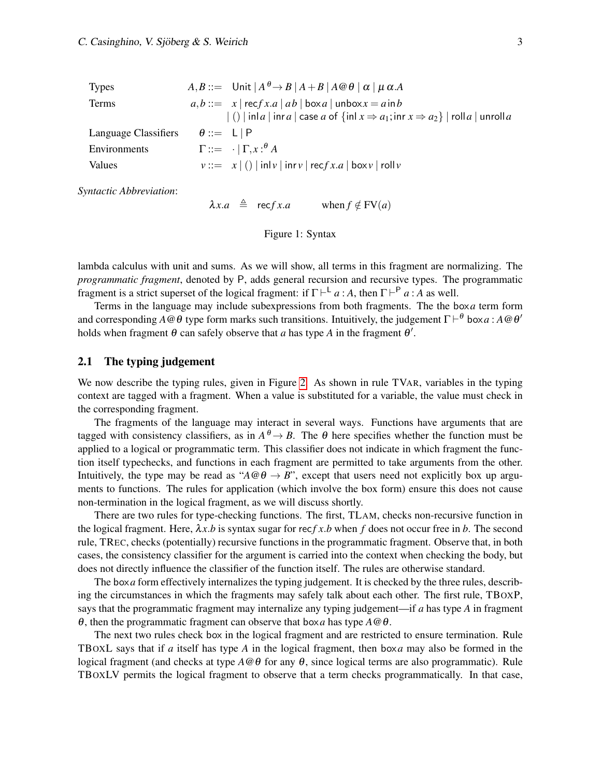| <b>Types</b>         | $A, B ::=$ Unit $A^{\theta} \rightarrow B   A + B   A \omega \theta   \alpha   \mu \alpha A$                               |
|----------------------|----------------------------------------------------------------------------------------------------------------------------|
| Terms                | $a,b ::= x   \operatorname{rec} f x.a   ab   \operatorname{box} a   \operatorname{unbox} x = a \operatorname{in} b$        |
|                      | $  \cdot  $ inla   inra   case a of $\{ \text{inl } x \Rightarrow a_1; \text{inr } x \Rightarrow a_2 \}  $ rolla   unrolla |
| Language Classifiers | $\theta ::= \Box \vdash P$                                                                                                 |
| Environments         | $\Gamma ::= \cdot   \Gamma_{,x} : ^{\theta} A$                                                                             |
| Values               | $v ::= x   ()   \text{inl} v   \text{inr} v   \text{rec} f x.a   \text{box} v   \text{roll} v$                             |

*Syntactic Abbreviation*:

 $\lambda x.a \triangleq \text{rec} f x.a \quad \text{when} f \notin FV(a)$ 

<span id="page-2-0"></span>

lambda calculus with unit and sums. As we will show, all terms in this fragment are normalizing. The *programmatic fragment*, denoted by P, adds general recursion and recursive types. The programmatic fragment is a strict superset of the logical fragment: if  $\Gamma \vdash^{\mathsf{L}} a : A$ , then  $\Gamma \vdash^{\mathsf{P}} a : A$  as well.

Terms in the language may include subexpressions from both fragments. The the box*a* term form and corresponding  $A @ \theta$  type form marks such transitions. Intuitively, the judgement  $\Gamma \vdash^{\theta}$  box  $a$  :  $A @ \theta'$ holds when fragment  $\theta$  can safely observe that *a* has type *A* in the fragment  $\theta'$ .

#### 2.1 The typing judgement

We now describe the typing rules, given in Figure [2.](#page-3-0) As shown in rule TVAR, variables in the typing context are tagged with a fragment. When a value is substituted for a variable, the value must check in the corresponding fragment.

The fragments of the language may interact in several ways. Functions have arguments that are tagged with consistency classifiers, as in  $A^{\theta} \to B$ . The  $\theta$  here specifies whether the function must be applied to a logical or programmatic term. This classifier does not indicate in which fragment the function itself typechecks, and functions in each fragment are permitted to take arguments from the other. Intuitively, the type may be read as " $A @ \theta \rightarrow B$ ", except that users need not explicitly box up arguments to functions. The rules for application (which involve the box form) ensure this does not cause non-termination in the logical fragment, as we will discuss shortly.

There are two rules for type-checking functions. The first, TLAM, checks non-recursive function in the logical fragment. Here,  $\lambda x.b$  is syntax sugar for recf x b when f does not occur free in b. The second rule, TREC, checks (potentially) recursive functions in the programmatic fragment. Observe that, in both cases, the consistency classifier for the argument is carried into the context when checking the body, but does not directly influence the classifier of the function itself. The rules are otherwise standard.

The box*a* form effectively internalizes the typing judgement. It is checked by the three rules, describing the circumstances in which the fragments may safely talk about each other. The first rule, TBOXP, says that the programmatic fragment may internalize any typing judgement—if *a* has type *A* in fragment θ, then the programmatic fragment can observe that box*a* has type *A*@θ.

The next two rules check box in the logical fragment and are restricted to ensure termination. Rule TBOXL says that if *a* itself has type *A* in the logical fragment, then box*a* may also be formed in the logical fragment (and checks at type  $A \textcircled{θ}$  for any  $\theta$ , since logical terms are also programmatic). Rule TBOXLV permits the logical fragment to observe that a term checks programmatically. In that case,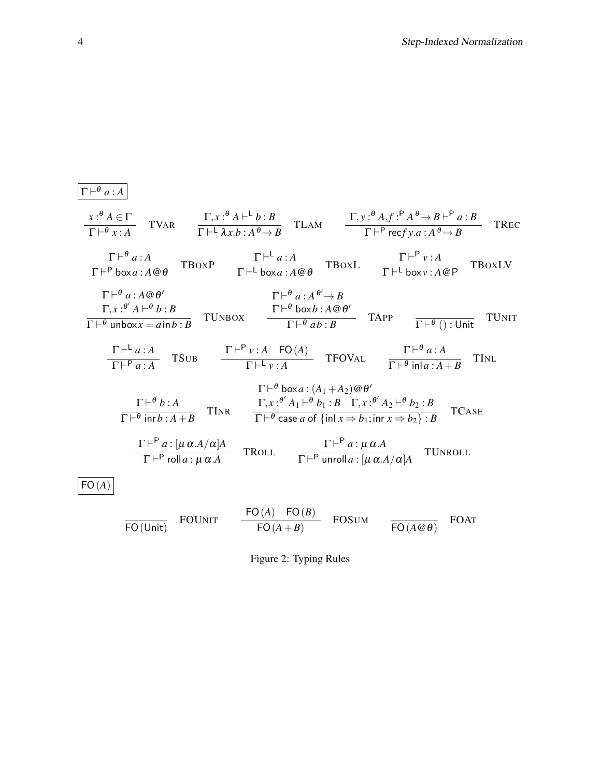$$
\frac{\Gamma \vdash^{\theta} a:A}{\Gamma \vdash^{\theta} x:A} \quad \text{TVaR} \quad \frac{\Gamma,x:\theta A \vdash^{\text{L}} b:B}{\Gamma \vdash^{\text{L}} \lambda x b:A^{\theta} \rightarrow B} \quad \text{TLAM} \quad \frac{\Gamma,y:\theta A,f:\theta A^{\theta} \rightarrow B \vdash^{\text{P}} a:B}{\Gamma \vdash^{\text{P}} \text{rec}f y.a:A^{\theta} \rightarrow B} \quad \text{TEEC}
$$
\n
$$
\frac{\Gamma \vdash^{\theta} a:A}{\Gamma \vdash^{\text{P}} \text{boxa} \times A @ \theta} \quad \text{TBox} \quad \frac{\Gamma \vdash^{\text{L}} a:A}{\Gamma \vdash^{\text{L}} \text{boxa} \times A @ \theta} \quad \text{TBox} \quad \frac{\Gamma \vdash^{\text{P}} v:A}{\Gamma \vdash^{\text{L}} \text{boxb} \times x:A @ \theta} \quad \text{TBox} \quad \frac{\Gamma \vdash^{\text{P}} a:A^{\theta} \rightarrow B}{\Gamma \vdash^{\text{P}} \text{boxb} \times A @ \theta'} \quad \frac{\Gamma \vdash^{\theta} a:A^{\theta} \rightarrow B}{\Gamma \vdash^{\theta} \text{boxb} \times b:A @ \theta'} \quad \text{TAPP} \quad \frac{\Gamma \vdash^{\text{P}} v:A}{\Gamma \vdash^{\text{P}} \text{unboxb} \times x=ain b:B} \quad \text{TUNBOX} \quad \frac{\Gamma \vdash^{\text{P}} v:A}{\Gamma \vdash^{\text{P}} v:A} \quad \text{TBOVAL} \quad \frac{\Gamma \vdash^{\theta} a:A}{\Gamma \vdash^{\theta} \text{in}a:A+B} \quad \text{TINL}
$$
\n
$$
\frac{\Gamma \vdash^{\theta} a:A}{\Gamma \vdash^{\text{P}} \text{in}b:A} \quad \text{TSUB} \quad \frac{\Gamma \vdash^{\text{P}} v:A \quad \text{FO}(A)}{\Gamma \vdash^{\text{P}} \text{case} a \text{of} \{\text{in}1 x \Rightarrow b_1:B \quad \Gamma, x:\theta'A \vdash^{\text{P}} b_2:B}{\Gamma \vdash^{\text{P}} \text{in}a:A+B} \quad \text{TINR} \quad \frac{\Gamma \vdash^{\text{P}} a:x}{\Gamma \vdash^{\text{P}} \text{case} a \text{of} \{\text{in}1 x \Rightarrow
$$

<span id="page-3-0"></span>Figure 2: Typing Rules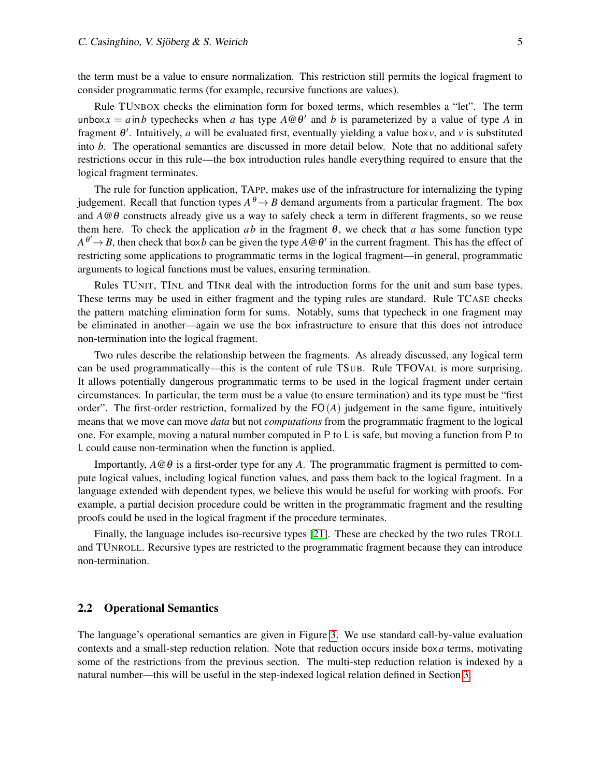the term must be a value to ensure normalization. This restriction still permits the logical fragment to consider programmatic terms (for example, recursive functions are values).

Rule TUNBOX checks the elimination form for boxed terms, which resembles a "let". The term unbox $x = a$  in *b* typechecks when *a* has type  $A \otimes \theta'$  and *b* is parameterized by a value of type *A* in fragment  $\theta'$ . Intuitively, *a* will be evaluated first, eventually yielding a value box*v*, and *v* is substituted into *b*. The operational semantics are discussed in more detail below. Note that no additional safety restrictions occur in this rule—the box introduction rules handle everything required to ensure that the logical fragment terminates.

The rule for function application, TAPP, makes use of the infrastructure for internalizing the typing judgement. Recall that function types  $A^{\theta} \rightarrow B$  demand arguments from a particular fragment. The box and *A*@θ constructs already give us a way to safely check a term in different fragments, so we reuse them here. To check the application  $ab$  in the fragment  $\theta$ , we check that *a* has some function type  $A^{\theta'} \to B$ , then check that box*b* can be given the type  $A \omega \theta'$  in the current fragment. This has the effect of restricting some applications to programmatic terms in the logical fragment—in general, programmatic arguments to logical functions must be values, ensuring termination.

Rules TUNIT, TINL and TINR deal with the introduction forms for the unit and sum base types. These terms may be used in either fragment and the typing rules are standard. Rule TCASE checks the pattern matching elimination form for sums. Notably, sums that typecheck in one fragment may be eliminated in another—again we use the box infrastructure to ensure that this does not introduce non-termination into the logical fragment.

Two rules describe the relationship between the fragments. As already discussed, any logical term can be used programmatically—this is the content of rule TSUB. Rule TFOVAL is more surprising. It allows potentially dangerous programmatic terms to be used in the logical fragment under certain circumstances. In particular, the term must be a value (to ensure termination) and its type must be "first order". The first-order restriction, formalized by the FO(*A*) judgement in the same figure, intuitively means that we move can move *data* but not *computations* from the programmatic fragment to the logical one. For example, moving a natural number computed in P to L is safe, but moving a function from P to L could cause non-termination when the function is applied.

Importantly,  $A \otimes \theta$  is a first-order type for any A. The programmatic fragment is permitted to compute logical values, including logical function values, and pass them back to the logical fragment. In a language extended with dependent types, we believe this would be useful for working with proofs. For example, a partial decision procedure could be written in the programmatic fragment and the resulting proofs could be used in the logical fragment if the procedure terminates.

Finally, the language includes iso-recursive types [\[21\]](#page-13-8). These are checked by the two rules TROLL and TUNROLL. Recursive types are restricted to the programmatic fragment because they can introduce non-termination.

#### 2.2 Operational Semantics

The language's operational semantics are given in Figure [3.](#page-5-0) We use standard call-by-value evaluation contexts and a small-step reduction relation. Note that reduction occurs inside box*a* terms, motivating some of the restrictions from the previous section. The multi-step reduction relation is indexed by a natural number—this will be useful in the step-indexed logical relation defined in Section [3.](#page-5-1)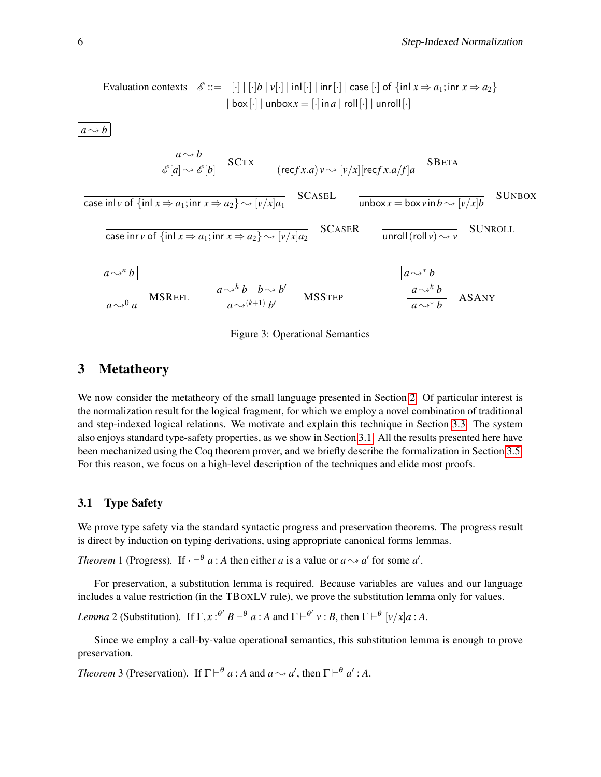Evaluation contexts

\n
$$
\mathcal{E} ::= \begin{bmatrix} \cdot \end{bmatrix} \begin{bmatrix} \cdot \end{bmatrix} b \begin{bmatrix} v[\cdot] \end{bmatrix} \text{inl} \begin{bmatrix} \cdot \end{bmatrix} \text{inr} \begin{bmatrix} \cdot \end{bmatrix} \text{case} \begin{bmatrix} \cdot \end{bmatrix} \text{of} \text{sin} x \Rightarrow a_1; \text{inr} x \Rightarrow a_2 \text{ to } a_2 \text{ to } a_3 \text{ to } a_4 \text{ to } a_5 \text{ to } a_6 \text{ to } a_7 \text{ to } a_8 \text{ to } a_9 \text{ to } a_9 \text{ to } a_9 \text{ to } a_9 \text{ to } a_9 \text{ to } a_9 \text{ to } a_9 \text{ to } a_9 \text{ to } a_9 \text{ to } a_9 \text{ to } a_9 \text{ to } a_9 \text{ to } a_9 \text{ to } a_9 \text{ to } a_9 \text{ to } a_9 \text{ to } a_9 \text{ to } a_9 \text{ to } a_9 \text{ to } a_9 \text{ to } a_9 \text{ to } a_9 \text{ to } a_9 \text{ to } a_9 \text{ to } a_9 \text{ to } a_9 \text{ to } a_9 \text{ to } a_9 \text{ to } a_9 \text{ to } a_9 \text{ to } a_9 \text{ to } a_9 \text{ to } a_9 \text{ to } a_9 \text{ to } a_9 \text{ to } a_9 \text{ to } a_9 \text{ to } a_9 \text{ to } a_9 \text{ to } a_9 \text{ to } a_9 \text{ to } a_9 \text{ to } a_9 \text{ to } a_9 \text{ to } a_9 \text{ to } a_9 \text{ to } a_9 \text{ to } a_9 \text{ to } a_9 \text{ to } a_9 \text{ to } a_9 \text{ to } a_9 \text{ to } a_9 \text{ to } a_9 \text{ to } a_9 \text{ to } a_9 \text{ to } a_9 \text{ to } a_9 \text{ to } a_9 \text{ to } a_9 \text{ to } a_9 \text{ to } a_9 \text{ to } a_9 \text{ to } a_9 \text{ to } a_9 \text{ to } a_9 \text{ to } a_9 \text{ to } a_9 \text{ to } a_9 \text{ to
$$

 $a \rightarrow b$ 

$$
\frac{a \rightarrow b}{\mathcal{E}[a] \rightarrow \mathcal{E}[b]} \quad \text{SCTX} \quad \frac{}{(\text{rec}f x.a)v \rightarrow [v/x][\text{rec}f x.a/f]a} \quad \text{SBERTA}
$$
\n
$$
\frac{}{\text{case in}[\text{v of } \{\text{in} \mid x \Rightarrow a_1; \text{in} \mid x \Rightarrow a_2\} \rightarrow [\text{v}/x]a_1} \quad \text{SCASEL} \quad \frac{}{\text{unbox}x = \text{box}v\text{in}b \rightarrow [\text{v}/x]b} \quad \text{SUNBOX}
$$
\n
$$
\frac{}{\text{case in}[\text{rv of } \{\text{in} \mid x \Rightarrow a_1; \text{in} \mid x \Rightarrow a_2\} \rightarrow [\text{v}/x]a_2} \quad \text{SCASER} \quad \frac{}{\text{unroll}(\text{roll}v) \rightarrow v} \quad \text{SUNROLL}
$$
\n
$$
\frac{a \rightarrow^h b}{a \rightarrow^h b} \quad \frac{a \rightarrow^k b}{a \rightarrow^h b} \quad \frac{a \rightarrow^k b}{a \rightarrow^h b} \quad \frac{a \rightarrow^k b}{a \rightarrow^h b} \quad \text{ASANY}
$$

<span id="page-5-0"></span>

# <span id="page-5-1"></span>3 Metatheory

We now consider the metatheory of the small language presented in Section [2.](#page-1-0) Of particular interest is the normalization result for the logical fragment, for which we employ a novel combination of traditional and step-indexed logical relations. We motivate and explain this technique in Section [3.3.](#page-8-0) The system also enjoys standard type-safety properties, as we show in Section [3.1.](#page-5-2) All the results presented here have been mechanized using the Coq theorem prover, and we briefly describe the formalization in Section [3.5.](#page-9-0) For this reason, we focus on a high-level description of the techniques and elide most proofs.

### <span id="page-5-2"></span>3.1 Type Safety

We prove type safety via the standard syntactic progress and preservation theorems. The progress result is direct by induction on typing derivations, using appropriate canonical forms lemmas.

*Theorem* 1 (Progress). If  $\cdot \vdash^{\theta} a$ : *A* then either *a* is a value or  $a \rightsquigarrow a'$  for some *a'*.

For preservation, a substitution lemma is required. Because variables are values and our language includes a value restriction (in the TBOXLV rule), we prove the substitution lemma only for values.

*Lemma* 2 (Substitution). If  $\Gamma, x :^{ \theta'} B \vdash^{\theta} a : A$  and  $\Gamma \vdash^{\theta'} v : B$ , then  $\Gamma \vdash^{\theta} [v/x] a : A$ .

Since we employ a call-by-value operational semantics, this substitution lemma is enough to prove preservation.

*Theorem* 3 (Preservation). If  $\Gamma \vdash^{\theta} a : A$  and  $a \leadsto a'$ , then  $\Gamma \vdash^{\theta} a' : A$ .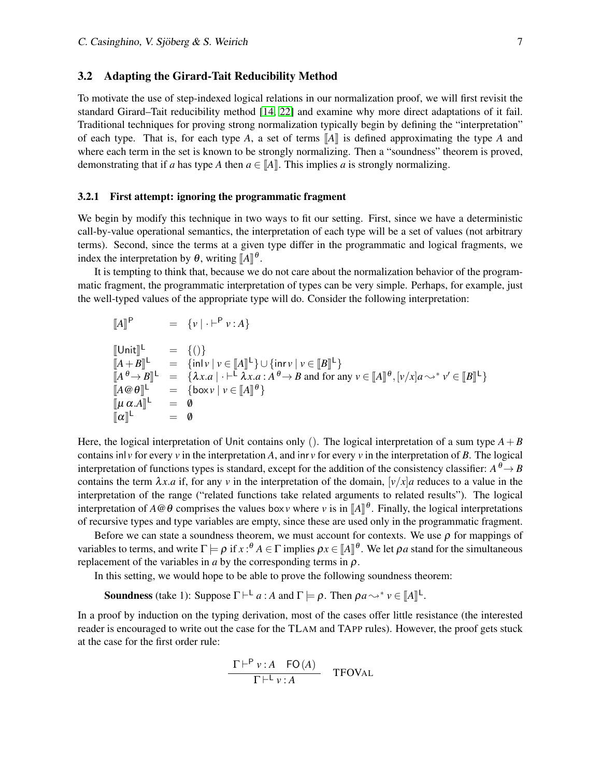#### <span id="page-6-0"></span>3.2 Adapting the Girard-Tait Reducibility Method

To motivate the use of step-indexed logical relations in our normalization proof, we will first revisit the standard Girard–Tait reducibility method [\[14,](#page-13-6) [22\]](#page-13-7) and examine why more direct adaptations of it fail. Traditional techniques for proving strong normalization typically begin by defining the "interpretation" of each type. That is, for each type *A*, a set of terms  $\llbracket A \rrbracket$  is defined approximating the type *A* and where each term in the set is known to be strongly normalizing. Then a "soundness" theorem is proved, demonstrating that if *a* has type *A* then  $a \in \|A\|$ . This implies *a* is strongly normalizing.

#### <span id="page-6-1"></span>3.2.1 First attempt: ignoring the programmatic fragment

We begin by modify this technique in two ways to fit our setting. First, since we have a deterministic call-by-value operational semantics, the interpretation of each type will be a set of values (not arbitrary terms). Second, since the terms at a given type differ in the programmatic and logical fragments, we index the interpretation by  $\theta$ , writing  $\llbracket A \rrbracket^{\theta}$ .<br>It is tenating to think that because we

It is tempting to think that, because we do not care about the normalization behavior of the programmatic fragment, the programmatic interpretation of types can be very simple. Perhaps, for example, just the well-typed values of the appropriate type will do. Consider the following interpretation:

$$
\llbracket A \rrbracket^{\mathsf{P}} = \{ v \mid \cdot \vdash^{\mathsf{P}} v : A \}
$$

$$
\begin{array}{lll}\n\llbracket \text{Unit} \rrbracket^{\mathsf{L}} & = & \{()\} \\
\llbracket A + B \rrbracket^{\mathsf{L}} & = & \{\text{inl} \, v \mid v \in [\![A]\!]^{\mathsf{L}}\} \cup \{\text{inr} \, v \mid v \in [\![B]\!]^{\mathsf{L}}\} \\
\llbracket A^{\theta} \rightarrow B \rrbracket^{\mathsf{L}} & = & \{\lambda x.a \mid \cdot \vdash^{\mathsf{L}} \lambda x.a : A^{\theta} \rightarrow B \text{ and for any } v \in [\![A]\!]^{\theta}, [v/x]a \leadsto^* v' \in [\![B]\!]^{\mathsf{L}}\} \\
\llbracket A \circledast \theta \rrbracket^{\mathsf{L}} & = & \{\text{box } v \mid v \in [\![A]\!]^{\theta}\} \\
\llbracket u \alpha.A \rrbracket^{\mathsf{L}} & = & 0 \\
\llbracket \alpha \rrbracket^{\mathsf{L}} & = & 0\n\end{array}
$$

Here, the logical interpretation of Unit contains only (). The logical interpretation of a sum type  $A + B$ contains inl *v* for every *v* in the interpretation *A*, and inr *v* for every *v* in the interpretation of *B*. The logical interpretation of functions types is standard, except for the addition of the consistency classifier:  $A^{\theta} \rightarrow B$ contains the term  $\lambda x.a$  if, for any *v* in the interpretation of the domain,  $[v/x]a$  reduces to a value in the interpretation of the range ("related functions take related arguments to related results"). The logical interpretation of  $A \otimes \theta$  comprises the values box*v* where *v* is in  $[A]$ <sup> $\theta$ </sup>. Finally, the logical interpretations of requirements that the programmatic frequent of recursive types and type variables are empty, since these are used only in the programmatic fragment.

Before we can state a soundness theorem, we must account for contexts. We use  $\rho$  for mappings of variables to terms, and write  $\Gamma \models \rho$  if  $x :^{\theta} A \in \Gamma$  implies  $\rho x \in [A]^{0}$ . We let  $\rho a$  stand for the simultaneous replacement of the variables in a by the corresponding terms in a replacement of the variables in *a* by the corresponding terms in  $\rho$ .

In this setting, we would hope to be able to prove the following soundness theorem:

**Soundness** (take 1): Suppose  $\Gamma \vdash^{\mathsf{L}} a : A$  and  $\Gamma \models \rho$ . Then  $\rho a \leadsto^* \nu \in [A]^\mathsf{L}$ .

In a proof by induction on the typing derivation, most of the cases offer little resistance (the interested reader is encouraged to write out the case for the TLAM and TAPP rules). However, the proof gets stuck at the case for the first order rule:

$$
\frac{\Gamma \vdash^{\mathsf{P}} v : A \quad \mathsf{FO}(A)}{\Gamma \vdash^{\mathsf{L}} v : A} \quad \text{TFOVAL}
$$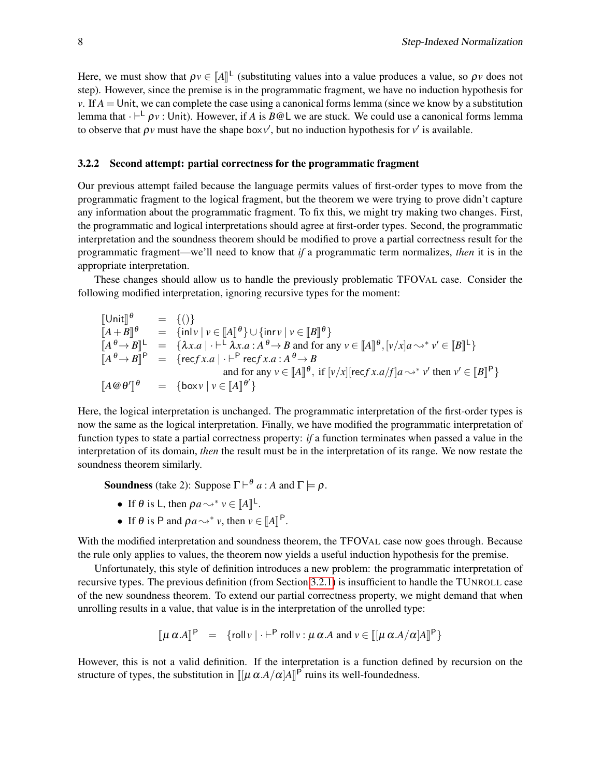Here, we must show that  $\rho v \in [A]^{\mathsf{L}}$  (substituting values into a value produces a value, so  $\rho v$  does not step). However, since the premise is in the programmatic fragment, we have no induction hypothesis for *v*. If  $A =$  Unit, we can complete the case using a canonical forms lemma (since we know by a substitution lemma that  $\cdot \vdash^{\perp} \rho v$ : Unit). However, if *A* is *B*@L we are stuck. We could use a canonical forms lemma to observe that  $\rho v$  must have the shape box  $v'$ , but no induction hypothesis for  $v'$  is available.

#### 3.2.2 Second attempt: partial correctness for the programmatic fragment

Our previous attempt failed because the language permits values of first-order types to move from the programmatic fragment to the logical fragment, but the theorem we were trying to prove didn't capture any information about the programmatic fragment. To fix this, we might try making two changes. First, the programmatic and logical interpretations should agree at first-order types. Second, the programmatic interpretation and the soundness theorem should be modified to prove a partial correctness result for the programmatic fragment—we'll need to know that *if* a programmatic term normalizes, *then* it is in the appropriate interpretation.

These changes should allow us to handle the previously problematic TFOVAL case. Consider the following modified interpretation, ignoring recursive types for the moment:

$$
\begin{array}{lll}\n\llbracket \text{Unit} \rrbracket^{\theta} & = \{()\} \\
\llbracket A + B \rrbracket^{\theta} & = \{\text{inl} \, v \mid v \in [\![A]\!]^{\theta}\} \cup \{\text{inr} \, v \mid v \in [\![B]\!]^{\theta}\} \\
\llbracket A^{\theta} \rightarrow B \rrbracket^{\mathsf{L}} & = \{\lambda x.a \mid \cdot \vdash^{\mathsf{L}} \lambda x.a : A^{\theta} \rightarrow B \text{ and for any } v \in [\![A]\!]^{\theta}, [v/x]a \leadsto^* v' \in [\![B]\!]^{\mathsf{L}}\} \\
\llbracket A^{\theta} \rightarrow B \rrbracket^{\mathsf{P}} & = \{\text{recf} x.a \mid \cdot \vdash^{\mathsf{P}} \text{recf} x.a : A^{\theta} \rightarrow B \\
& \text{and for any } v \in [\![A]\!]^{\theta}, \text{ if } [v/x] [\text{recf} x.a/f]a \leadsto^* v' \text{ then } v' \in [\![B]\!]^{\mathsf{P}}\}\n\end{array}
$$

Here, the logical interpretation is unchanged. The programmatic interpretation of the first-order types is now the same as the logical interpretation. Finally, we have modified the programmatic interpretation of function types to state a partial correctness property: *if* a function terminates when passed a value in the interpretation of its domain, *then* the result must be in the interpretation of its range. We now restate the soundness theorem similarly.

**Soundness** (take 2): Suppose  $\Gamma \vdash^{\theta} a : A$  and  $\Gamma \models \rho$ .

- If  $\theta$  is L, then  $\rho a \leadsto^* v \in [A]^{L}$ .
- If  $\theta$  is P and  $\rho a \leadsto^* v$ , then  $v \in [A]^P$ .

With the modified interpretation and soundness theorem, the TFOVAL case now goes through. Because the rule only applies to values, the theorem now yields a useful induction hypothesis for the premise.

Unfortunately, this style of definition introduces a new problem: the programmatic interpretation of recursive types. The previous definition (from Section [3.2.1\)](#page-6-1) is insufficient to handle the TUNROLL case of the new soundness theorem. To extend our partial correctness property, we might demand that when unrolling results in a value, that value is in the interpretation of the unrolled type:

$$
\llbracket \mu \alpha . A \rrbracket^{\mathsf{P}} = \{ \text{roll } v \mid \cdot \vdash^{\mathsf{P}} \text{roll } v : \mu \alpha . A \text{ and } v \in \llbracket [\mu \alpha . A / \alpha] A \rrbracket^{\mathsf{P}} \}
$$

However, this is not a valid definition. If the interpretation is a function defined by recursion on the structure of types, the substitution in  $\llbracket [\mu \alpha.A/\alpha]A \rrbracket^{\text{P}}$  ruins its well-foundedness.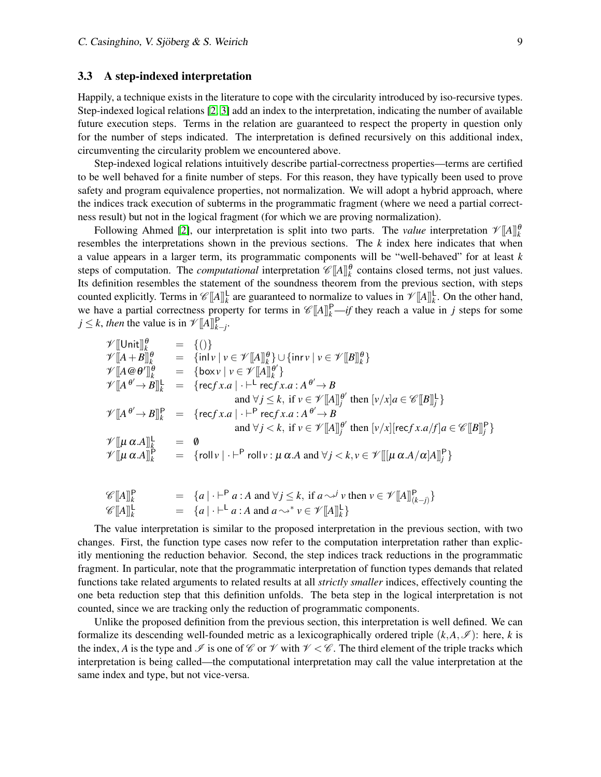#### <span id="page-8-0"></span>3.3 A step-indexed interpretation

Happily, a technique exists in the literature to cope with the circularity introduced by iso-recursive types. Step-indexed logical relations [\[2,](#page-12-1) [3\]](#page-12-2) add an index to the interpretation, indicating the number of available future execution steps. Terms in the relation are guaranteed to respect the property in question only for the number of steps indicated. The interpretation is defined recursively on this additional index, circumventing the circularity problem we encountered above.

Step-indexed logical relations intuitively describe partial-correctness properties—terms are certified to be well behaved for a finite number of steps. For this reason, they have typically been used to prove safety and program equivalence properties, not normalization. We will adopt a hybrid approach, where the indices track execution of subterms in the programmatic fragment (where we need a partial correctness result) but not in the logical fragment (for which we are proving normalization).

Following Ahmed [\[2\]](#page-12-1), our interpretation is split into two parts. The *value* interpretation  $\mathcal{V}[A]_k^{\theta}$ resembles the interpretations shown in the previous sections. The *k* index here indicates that when a value appears in a larger term, its programmatic components will be "well-behaved" for at least *k* steps of computation. The *computational* interpretation  $\mathscr{C}[[A]]_k^{\theta}$  contains closed terms, not just values. Its definition resembles the statement of the soundness theorem from the previous section, with steps counted explicitly. Terms in  $\mathscr{C}[A]^{\mathsf{L}}_{k}$  are guaranteed to normalize to values in  $\mathscr{V}[A]^{\mathsf{L}}_{k}$ . On the other hand, we have a partial correctness property for terms in  $\mathcal{C}[[A]]_k^P$  —*if* they reach a value in *j* steps for some  $j \leq k$ , *then* the value is in  $\mathcal{V}[[A]]_{k-j}^{\mathsf{P}}$ .

$$
\mathcal{V}[\text{Unit}]_{k}^{\theta} = \{()\}
$$
\n
$$
\mathcal{V}[[A + B]]_{k}^{\theta} = \{\text{inl} \nu \mid \nu \in \mathcal{V}[[A]]_{k}^{\theta}\} \cup \{\text{inr} \nu \mid \nu \in \mathcal{V}[[B]]_{k}^{\theta}\}
$$
\n
$$
\mathcal{V}[[A \otimes \theta']]_{k}^{\theta} = \{\text{box } \nu \mid \nu \in \mathcal{V}[[A]]_{k}^{\theta'}\}
$$
\n
$$
\mathcal{V}[[A^{\theta'} \rightarrow B]]_{k}^{\mathsf{L}} = \{\text{recf } x.a \mid \cdot \vdash^{\mathsf{L}} \text{recf } x.a : A^{\theta'} \rightarrow B \text{ and } \forall j \leq k, \text{ if } \nu \in \mathcal{V}[[A]]_{j}^{\theta'} \text{ then } [\nu/x]a \in \mathcal{C}[[B]]_{j}^{\mathsf{L}}\}
$$
\n
$$
\mathcal{V}[[A^{\theta'} \rightarrow B]]_{k}^{\mathsf{P}} = \{\text{recf } x.a \mid \cdot \vdash^{\mathsf{P}} \text{recf } x.a : A^{\theta'} \rightarrow B \text{ and } \forall j < k, \text{ if } \nu \in \mathcal{V}[[A]]_{j}^{\theta'} \text{ then } [\nu/x] [\text{recf } x.a / f]a \in \mathcal{C}[[B]]_{j}^{\mathsf{P}}\}
$$
\n
$$
\mathcal{V}[[\mu \alpha.A]]_{k}^{\mathsf{L}} = \emptyset
$$
\n
$$
\mathcal{V}[[\mu \alpha.A]]_{k}^{\mathsf{P}} = \{\text{roll } \nu \mid \cdot \vdash^{\mathsf{P}} \text{roll } \nu : \mu \alpha.A \text{ and } \forall j < k, \nu \in \mathcal{V}[[[\mu \alpha.A / \alpha]A]]_{j}^{\mathsf{P}}\}
$$

$$
\mathcal{C}[A]_k^P = \{a \mid \cdot \vdash^P a : A \text{ and } \forall j \le k, \text{ if } a \sim^j \nu \text{ then } \nu \in \mathcal{V}[A]_{(k-j)}^P\} \n\mathcal{C}[A]_k^L = \{a \mid \cdot \vdash^L a : A \text{ and } a \sim^* \nu \in \mathcal{V}[A]_k^L\}
$$

The value interpretation is similar to the proposed interpretation in the previous section, with two changes. First, the function type cases now refer to the computation interpretation rather than explicitly mentioning the reduction behavior. Second, the step indices track reductions in the programmatic fragment. In particular, note that the programmatic interpretation of function types demands that related functions take related arguments to related results at all *strictly smaller* indices, effectively counting the one beta reduction step that this definition unfolds. The beta step in the logical interpretation is not counted, since we are tracking only the reduction of programmatic components.

Unlike the proposed definition from the previous section, this interpretation is well defined. We can formalize its descending well-founded metric as a lexicographically ordered triple  $(k, A, \mathcal{I})$ : here, *k* is the index, A is the type and  $\mathcal I$  is one of  $\mathcal C$  or  $\mathcal V$  with  $\mathcal V < \mathcal C$ . The third element of the triple tracks which interpretation is being called—the computational interpretation may call the value interpretation at the same index and type, but not vice-versa.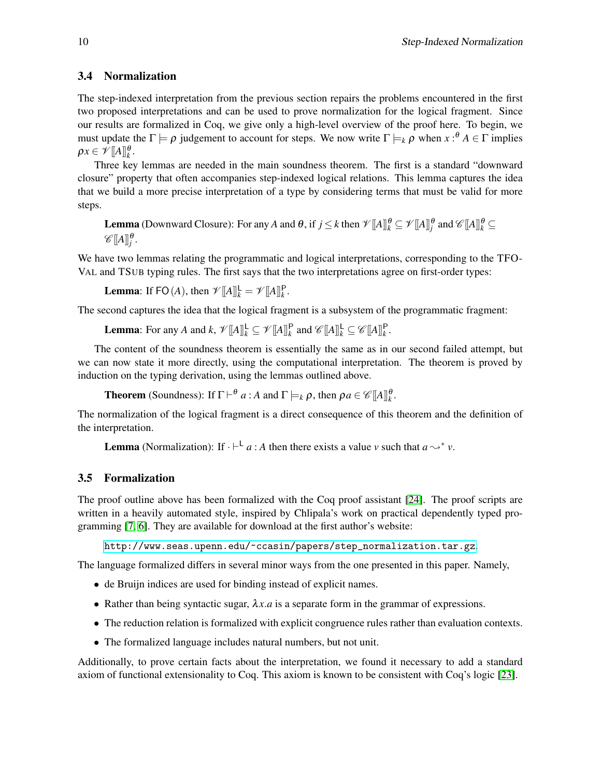### 3.4 Normalization

The step-indexed interpretation from the previous section repairs the problems encountered in the first two proposed interpretations and can be used to prove normalization for the logical fragment. Since our results are formalized in Coq, we give only a high-level overview of the proof here. To begin, we must update the  $\Gamma \models \rho$  judgement to account for steps. We now write  $\Gamma \models_k \rho$  when  $x :^{\theta} A \in \Gamma$  implies  $\rho x \in \mathscr{V}[\![A]\!]_k^\theta.$ 

Three key lemmas are needed in the main soundness theorem. The first is a standard "downward closure" property that often accompanies step-indexed logical relations. This lemma captures the idea that we build a more precise interpretation of a type by considering terms that must be valid for more steps.

Lemma (Downward Closure): For any  $A$  and  $\theta$ , if  $j \leq k$  then  $\mathscr{V}[\![A]\!]_{k}^{\theta} \subseteq \mathscr{V}[\![A]\!]_{j}^{\theta}$  and  $\mathscr{C}[\![A]\!]_{k}^{\theta} \subseteq$  $\mathscr{C}[\![A]\!]_j^\theta.$ 

We have two lemmas relating the programmatic and logical interpretations, corresponding to the TFO-VAL and TSUB typing rules. The first says that the two interpretations agree on first-order types:

**Lemma**: If FO(*A*), then  $\mathscr{V}[A]_k^{\mathsf{L}} = \mathscr{V}[A]_k^{\mathsf{P}}$ .

The second captures the idea that the logical fragment is a subsystem of the programmatic fragment:

**Lemma**: For any *A* and  $k$ ,  $\mathcal{V}[[A]]_k^{\mathsf{L}} \subseteq \mathcal{V}[[A]]_k^{\mathsf{P}}$  and  $\mathcal{C}[[A]]_k^{\mathsf{L}} \subseteq \mathcal{C}[[A]]_k^{\mathsf{P}}$ .

The content of the soundness theorem is essentially the same as in our second failed attempt, but we can now state it more directly, using the computational interpretation. The theorem is proved by induction on the typing derivation, using the lemmas outlined above.

**Theorem** (Soundness): If  $\Gamma \vdash^{\theta} a : A$  and  $\Gamma \models_k \rho$ , then  $\rho a \in \mathscr{C}[[A]]_k^{\theta}$ .

The normalization of the logical fragment is a direct consequence of this theorem and the definition of the interpretation.

**Lemma** (Normalization): If  $\cdot \vdash^{\mathsf{L}} a : A$  then there exists a value *v* such that  $a \leadsto^* v$ .

### <span id="page-9-0"></span>3.5 Formalization

The proof outline above has been formalized with the Coq proof assistant [\[24\]](#page-13-4). The proof scripts are written in a heavily automated style, inspired by Chlipala's work on practical dependently typed programming [\[7,](#page-12-3) [6\]](#page-12-4). They are available for download at the first author's website:

[http://www.seas.upenn.edu/~ccasin/papers/step\\_normalization.tar.gz](http://www.seas.upenn.edu/~ccasin/papers/step_normalization.tar.gz).

The language formalized differs in several minor ways from the one presented in this paper. Namely,

- de Bruijn indices are used for binding instead of explicit names.
- Rather than being syntactic sugar,  $\lambda x.a$  is a separate form in the grammar of expressions.
- The reduction relation is formalized with explicit congruence rules rather than evaluation contexts.
- The formalized language includes natural numbers, but not unit.

Additionally, to prove certain facts about the interpretation, we found it necessary to add a standard axiom of functional extensionality to Coq. This axiom is known to be consistent with Coq's logic [\[23\]](#page-13-9).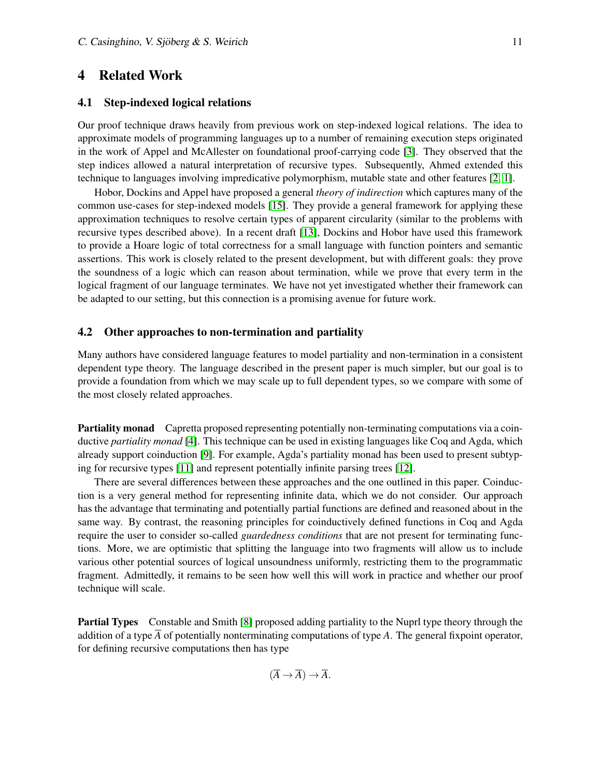### <span id="page-10-0"></span>4 Related Work

#### 4.1 Step-indexed logical relations

Our proof technique draws heavily from previous work on step-indexed logical relations. The idea to approximate models of programming languages up to a number of remaining execution steps originated in the work of Appel and McAllester on foundational proof-carrying code [\[3\]](#page-12-2). They observed that the step indices allowed a natural interpretation of recursive types. Subsequently, Ahmed extended this technique to languages involving impredicative polymorphism, mutable state and other features [\[2,](#page-12-1) [1\]](#page-12-5).

Hobor, Dockins and Appel have proposed a general *theory of indirection* which captures many of the common use-cases for step-indexed models [\[15\]](#page-13-10). They provide a general framework for applying these approximation techniques to resolve certain types of apparent circularity (similar to the problems with recursive types described above). In a recent draft [\[13\]](#page-13-11), Dockins and Hobor have used this framework to provide a Hoare logic of total correctness for a small language with function pointers and semantic assertions. This work is closely related to the present development, but with different goals: they prove the soundness of a logic which can reason about termination, while we prove that every term in the logical fragment of our language terminates. We have not yet investigated whether their framework can be adapted to our setting, but this connection is a promising avenue for future work.

#### 4.2 Other approaches to non-termination and partiality

Many authors have considered language features to model partiality and non-termination in a consistent dependent type theory. The language described in the present paper is much simpler, but our goal is to provide a foundation from which we may scale up to full dependent types, so we compare with some of the most closely related approaches.

**Partiality monad** Capretta proposed representing potentially non-terminating computations via a coinductive *partiality monad* [\[4\]](#page-12-6). This technique can be used in existing languages like Coq and Agda, which already support coinduction [\[9\]](#page-12-7). For example, Agda's partiality monad has been used to present subtyping for recursive types [\[11\]](#page-13-12) and represent potentially infinite parsing trees [\[12\]](#page-13-13).

There are several differences between these approaches and the one outlined in this paper. Coinduction is a very general method for representing infinite data, which we do not consider. Our approach has the advantage that terminating and potentially partial functions are defined and reasoned about in the same way. By contrast, the reasoning principles for coinductively defined functions in Coq and Agda require the user to consider so-called *guardedness conditions* that are not present for terminating functions. More, we are optimistic that splitting the language into two fragments will allow us to include various other potential sources of logical unsoundness uniformly, restricting them to the programmatic fragment. Admittedly, it remains to be seen how well this will work in practice and whether our proof technique will scale.

Partial Types Constable and Smith [\[8\]](#page-12-8) proposed adding partiality to the Nuprl type theory through the addition of a type *A* of potentially nonterminating computations of type *A*. The general fixpoint operator, for defining recursive computations then has type

 $(\overline{A} \rightarrow \overline{A}) \rightarrow \overline{A}.$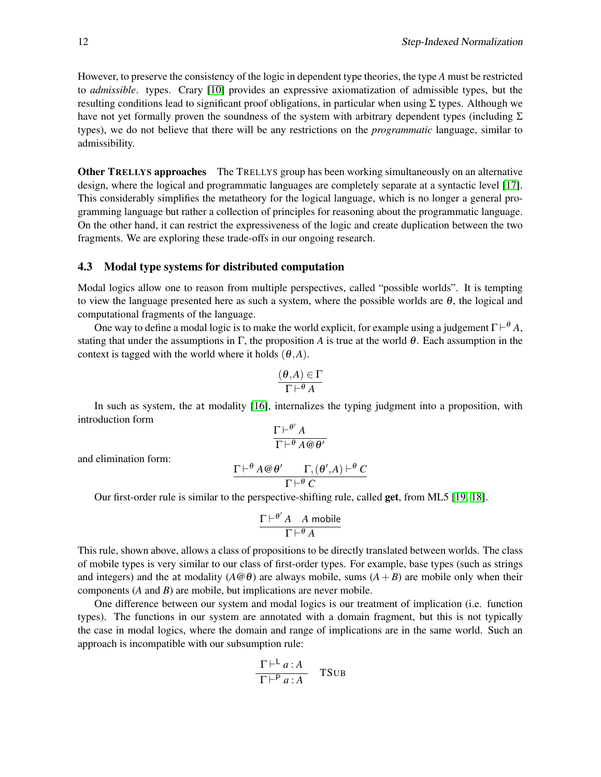However, to preserve the consistency of the logic in dependent type theories, the type *A* must be restricted to *admissible*. types. Crary [\[10\]](#page-12-9) provides an expressive axiomatization of admissible types, but the resulting conditions lead to significant proof obligations, in particular when using  $\Sigma$  types. Although we have not yet formally proven the soundness of the system with arbitrary dependent types (including  $\Sigma$ types), we do not believe that there will be any restrictions on the *programmatic* language, similar to admissibility.

**Other TRELLYS approaches** The TRELLYS group has been working simultaneously on an alternative design, where the logical and programmatic languages are completely separate at a syntactic level [\[17\]](#page-13-1). This considerably simplifies the metatheory for the logical language, which is no longer a general programming language but rather a collection of principles for reasoning about the programmatic language. On the other hand, it can restrict the expressiveness of the logic and create duplication between the two fragments. We are exploring these trade-offs in our ongoing research.

#### 4.3 Modal type systems for distributed computation

Modal logics allow one to reason from multiple perspectives, called "possible worlds". It is tempting to view the language presented here as such a system, where the possible worlds are  $\theta$ , the logical and computational fragments of the language.

One way to define a modal logic is to make the world explicit, for example using a judgement  $\Gamma \vdash^{\theta} A$ , stating that under the assumptions in  $\Gamma$ , the proposition *A* is true at the world  $\theta$ . Each assumption in the context is tagged with the world where it holds  $(\theta, A)$ .

$$
\frac{(\theta,A)\in\Gamma}{\Gamma\vdash^{\theta} A}
$$

In such as system, the at modality [\[16\]](#page-13-14), internalizes the typing judgment into a proposition, with introduction form

$$
\frac{\Gamma \vdash^{\theta'} A}{\Gamma \vdash^{\theta} A \mathcal{Q} \theta'}
$$

and elimination form:

$$
\frac{\Gamma \vdash^{\theta} A @ \theta' \qquad \Gamma, (\theta', A) \vdash^{\theta} C}{\Gamma \vdash^{\theta} C}
$$

Our first-order rule is similar to the perspective-shifting rule, called get, from ML5 [\[19,](#page-13-15) [18\]](#page-13-16).

$$
\frac{\Gamma \vdash^{\theta'} A \quad A \text{ mobile}}{\Gamma \vdash^{\theta} A}
$$

This rule, shown above, allows a class of propositions to be directly translated between worlds. The class of mobile types is very similar to our class of first-order types. For example, base types (such as strings and integers) and the at modality  $(A \oplus \theta)$  are always mobile, sums  $(A + B)$  are mobile only when their components (*A* and *B*) are mobile, but implications are never mobile.

One difference between our system and modal logics is our treatment of implication (i.e. function types). The functions in our system are annotated with a domain fragment, but this is not typically the case in modal logics, where the domain and range of implications are in the same world. Such an approach is incompatible with our subsumption rule:

$$
\frac{\Gamma \vdash^{\mathsf{L}} a:A}{\Gamma \vdash^{\mathsf{P}} a:A} \quad \text{TSUB}
$$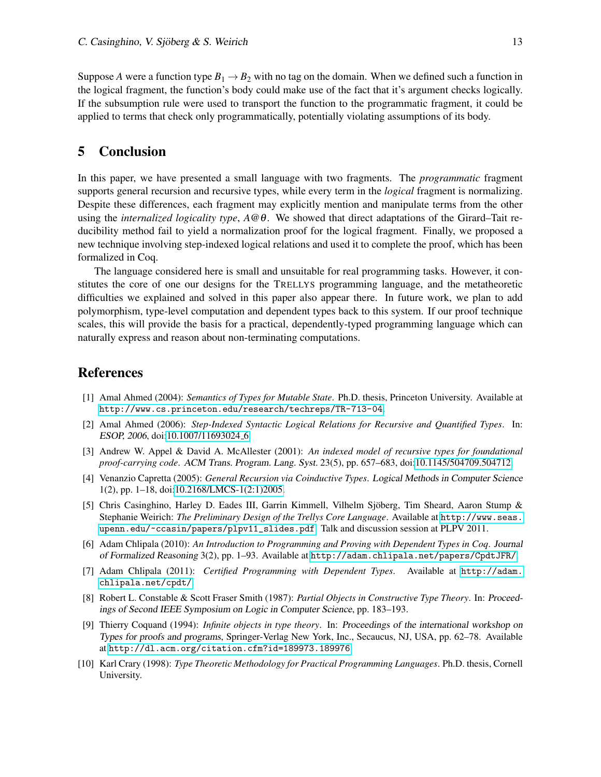Suppose *A* were a function type  $B_1 \rightarrow B_2$  with no tag on the domain. When we defined such a function in the logical fragment, the function's body could make use of the fact that it's argument checks logically. If the subsumption rule were used to transport the function to the programmatic fragment, it could be applied to terms that check only programmatically, potentially violating assumptions of its body.

# 5 Conclusion

In this paper, we have presented a small language with two fragments. The *programmatic* fragment supports general recursion and recursive types, while every term in the *logical* fragment is normalizing. Despite these differences, each fragment may explicitly mention and manipulate terms from the other using the *internalized logicality type*, *A*@θ. We showed that direct adaptations of the Girard–Tait reducibility method fail to yield a normalization proof for the logical fragment. Finally, we proposed a new technique involving step-indexed logical relations and used it to complete the proof, which has been formalized in Coq.

The language considered here is small and unsuitable for real programming tasks. However, it constitutes the core of one our designs for the TRELLYS programming language, and the metatheoretic difficulties we explained and solved in this paper also appear there. In future work, we plan to add polymorphism, type-level computation and dependent types back to this system. If our proof technique scales, this will provide the basis for a practical, dependently-typed programming language which can naturally express and reason about non-terminating computations.

### References

- <span id="page-12-5"></span>[1] Amal Ahmed (2004): *Semantics of Types for Mutable State*. Ph.D. thesis, Princeton University. Available at <http://www.cs.princeton.edu/research/techreps/TR-713-04>.
- <span id="page-12-1"></span>[2] Amal Ahmed (2006): *Step-Indexed Syntactic Logical Relations for Recursive and Quantified Types*. In: ESOP, 2006, doi[:10.1007/11693024](http://dx.doi.org/10.1007/11693024_6)<sub>-6</sub>.
- <span id="page-12-2"></span>[3] Andrew W. Appel & David A. McAllester (2001): *An indexed model of recursive types for foundational proof-carrying code*. ACM Trans. Program. Lang. Syst. 23(5), pp. 657–683, doi[:10.1145/504709.504712.](http://dx.doi.org/10.1145/504709.504712)
- <span id="page-12-6"></span>[4] Venanzio Capretta (2005): *General Recursion via Coinductive Types*. Logical Methods in Computer Science 1(2), pp. 1–18, doi[:10.2168/LMCS-1\(2:1\)2005.](http://dx.doi.org/10.2168/LMCS-1(2:1)2005)
- <span id="page-12-0"></span>[5] Chris Casinghino, Harley D. Eades III, Garrin Kimmell, Vilhelm Sjöberg, Tim Sheard, Aaron Stump & Stephanie Weirich: *The Preliminary Design of the Trellys Core Language*. Available at [http://www.seas.](http://www.seas.upenn.edu/~ccasin/papers/plpv11_slides.pdf) [upenn.edu/~ccasin/papers/plpv11\\_slides.pdf](http://www.seas.upenn.edu/~ccasin/papers/plpv11_slides.pdf). Talk and discussion session at PLPV 2011.
- <span id="page-12-4"></span>[6] Adam Chlipala (2010): *An Introduction to Programming and Proving with Dependent Types in Coq*. Journal of Formalized Reasoning 3(2), pp. 1–93. Available at <http://adam.chlipala.net/papers/CpdtJFR/>.
- <span id="page-12-3"></span>[7] Adam Chlipala (2011): *Certified Programming with Dependent Types*. Available at [http://adam.](http://adam.chlipala.net/cpdt/) [chlipala.net/cpdt/](http://adam.chlipala.net/cpdt/).
- <span id="page-12-8"></span>[8] Robert L. Constable & Scott Fraser Smith (1987): *Partial Objects in Constructive Type Theory*. In: Proceedings of Second IEEE Symposium on Logic in Computer Science, pp. 183–193.
- <span id="page-12-7"></span>[9] Thierry Coquand (1994): *Infinite objects in type theory*. In: Proceedings of the international workshop on Types for proofs and programs, Springer-Verlag New York, Inc., Secaucus, NJ, USA, pp. 62–78. Available at <http://dl.acm.org/citation.cfm?id=189973.189976>.
- <span id="page-12-9"></span>[10] Karl Crary (1998): *Type Theoretic Methodology for Practical Programming Languages*. Ph.D. thesis, Cornell University.